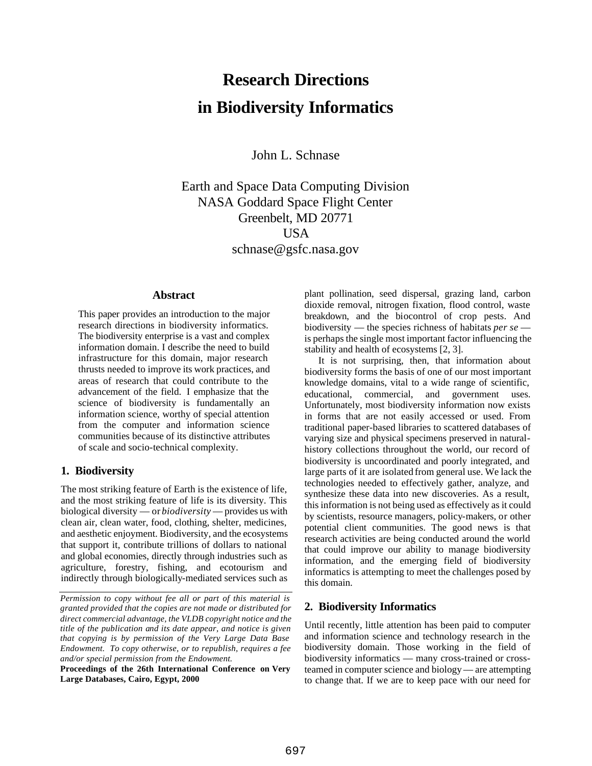# **Research Directions in Biodiversity Informatics**

John L. Schnase

Earth and Space Data Computing Division NASA Goddard Space Flight Center Greenbelt, MD 20771 USA schnase@gsfc.nasa.gov

#### **Abstract**

This paper provides an introduction to the major research directions in biodiversity informatics. The biodiversity enterprise is a vast and complex information domain. I describe the need to build infrastructure for this domain, major research thrusts needed to improve its work practices, and areas of research that could contribute to the advancement of the field. I emphasize that the science of biodiversity is fundamentally an information science, worthy of special attention from the computer and information science communities because of its distinctive attributes of scale and socio-technical complexity.

#### **1. Biodiversity**

The most striking feature of Earth is the existence of life, and the most striking feature of life is its diversity. This biological diversity — or *biodiversity* — provides us with clean air, clean water, food, clothing, shelter, medicines, and aesthetic enjoyment. Biodiversity, and the ecosystems that support it, contribute trillions of dollars to national and global economies, directly through industries such as agriculture, forestry, fishing, and ecotourism and indirectly through biologically-mediated services such as plant pollination, seed dispersal, grazing land, carbon dioxide removal, nitrogen fixation, flood control, waste breakdown, and the biocontrol of crop pests. And biodiversity — the species richness of habitats *per se* is perhaps the single most important factor influencing the stability and health of ecosystems [2, 3].

It is not surprising, then, that information about biodiversity forms the basis of one of our most important knowledge domains, vital to a wide range of scientific, educational, commercial, and government uses. Unfortunately, most biodiversity information now exists in forms that are not easily accessed or used. From traditional paper-based libraries to scattered databases of varying size and physical specimens preserved in naturalhistory collections throughout the world, our record of biodiversity is uncoordinated and poorly integrated, and large parts of it are isolated from general use. We lack the technologies needed to effectively gather, analyze, and synthesize these data into new discoveries. As a result, this information is not being used as effectively as it could by scientists, resource managers, policy-makers, or other potential client communities. The good news is that research activities are being conducted around the world that could improve our ability to manage biodiversity information, and the emerging field of biodiversity informatics is attempting to meet the challenges posed by this domain.

#### **2. Biodiversity Informatics**

Until recently, little attention has been paid to computer and information science and technology research in the biodiversity domain. Those working in the field of biodiversity informatics — many cross-trained or crossteamed in computer science and biology — are attempting to change that. If we are to keep pace with our need for

*Permission to copy without fee all or part of this material is granted provided that the copies are not made or distributed for direct commercial advantage, the VLDB copyright notice and the title of the publication and its date appear, and notice is given that copying is by permission of the Very Large Data Base Endowment. To copy otherwise, or to republish, requires a fee and/or special permission from the Endowment.*

**Proceedings of the 26th International Conference on Very Large Databases, Cairo, Egypt, 2000**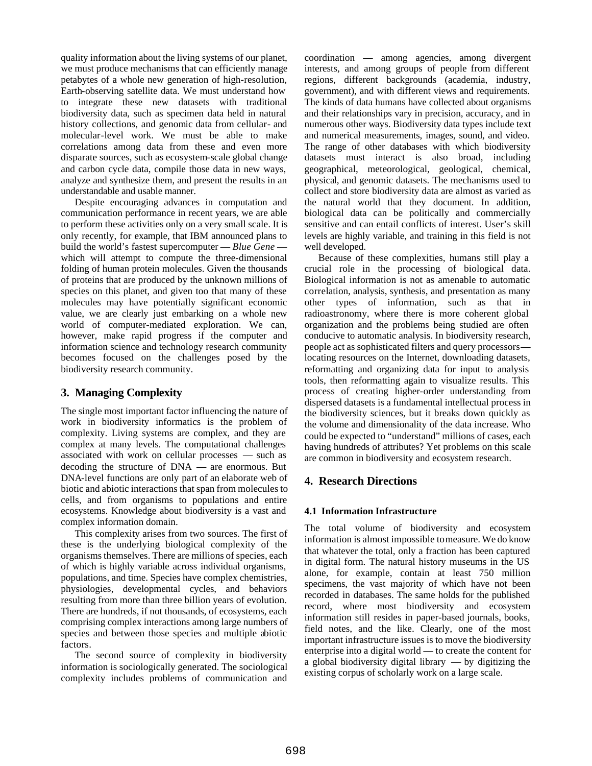quality information about the living systems of our planet, we must produce mechanisms that can efficiently manage petabytes of a whole new generation of high-resolution, Earth-observing satellite data. We must understand how to integrate these new datasets with traditional biodiversity data, such as specimen data held in natural history collections, and genomic data from cellular- and molecular-level work. We must be able to make correlations among data from these and even more disparate sources, such as ecosystem-scale global change and carbon cycle data, compile those data in new ways, analyze and synthesize them, and present the results in an understandable and usable manner.

Despite encouraging advances in computation and communication performance in recent years, we are able to perform these activities only on a very small scale. It is only recently, for example, that IBM announced plans to build the world's fastest supercomputer — *Blue Gene* which will attempt to compute the three-dimensional folding of human protein molecules. Given the thousands of proteins that are produced by the unknown millions of species on this planet, and given too that many of these molecules may have potentially significant economic value, we are clearly just embarking on a whole new world of computer-mediated exploration. We can, however, make rapid progress if the computer and information science and technology research community becomes focused on the challenges posed by the biodiversity research community.

### **3. Managing Complexity**

The single most important factor influencing the nature of work in biodiversity informatics is the problem of complexity. Living systems are complex, and they are complex at many levels. The computational challenges associated with work on cellular processes — such as decoding the structure of DNA — are enormous. But DNA-level functions are only part of an elaborate web of biotic and abiotic interactions that span from molecules to cells, and from organisms to populations and entire ecosystems. Knowledge about biodiversity is a vast and complex information domain.

This complexity arises from two sources. The first of these is the underlying biological complexity of the organisms themselves. There are millions of species, each of which is highly variable across individual organisms, populations, and time. Species have complex chemistries, physiologies, developmental cycles, and behaviors resulting from more than three billion years of evolution. There are hundreds, if not thousands, of ecosystems, each comprising complex interactions among large numbers of species and between those species and multiple abiotic factors.

The second source of complexity in biodiversity information is sociologically generated. The sociological complexity includes problems of communication and

coordination — among agencies, among divergent interests, and among groups of people from different regions, different backgrounds (academia, industry, government), and with different views and requirements. The kinds of data humans have collected about organisms and their relationships vary in precision, accuracy, and in numerous other ways. Biodiversity data types include text and numerical measurements, images, sound, and video. The range of other databases with which biodiversity datasets must interact is also broad, including geographical, meteorological, geological, chemical, physical, and genomic datasets. The mechanisms used to collect and store biodiversity data are almost as varied as the natural world that they document. In addition, biological data can be politically and commercially sensitive and can entail conflicts of interest. User's skill levels are highly variable, and training in this field is not well developed.

Because of these complexities, humans still play a crucial role in the processing of biological data. Biological information is not as amenable to automatic correlation, analysis, synthesis, and presentation as many other types of information, such as that in radioastronomy, where there is more coherent global organization and the problems being studied are often conducive to automatic analysis. In biodiversity research, people act as sophisticated filters and query processors locating resources on the Internet, downloading datasets, reformatting and organizing data for input to analysis tools, then reformatting again to visualize results. This process of creating higher-order understanding from dispersed datasets is a fundamental intellectual process in the biodiversity sciences, but it breaks down quickly as the volume and dimensionality of the data increase. Who could be expected to "understand" millions of cases, each having hundreds of attributes? Yet problems on this scale are common in biodiversity and ecosystem research.

## **4. Research Directions**

### **4.1 Information Infrastructure**

The total volume of biodiversity and ecosystem information is almost impossible to measure. We do know that whatever the total, only a fraction has been captured in digital form. The natural history museums in the US alone, for example, contain at least 750 million specimens, the vast majority of which have not been recorded in databases. The same holds for the published record, where most biodiversity and ecosystem information still resides in paper-based journals, books, field notes, and the like. Clearly, one of the most important infrastructure issues is to move the biodiversity enterprise into a digital world — to create the content for a global biodiversity digital library — by digitizing the existing corpus of scholarly work on a large scale.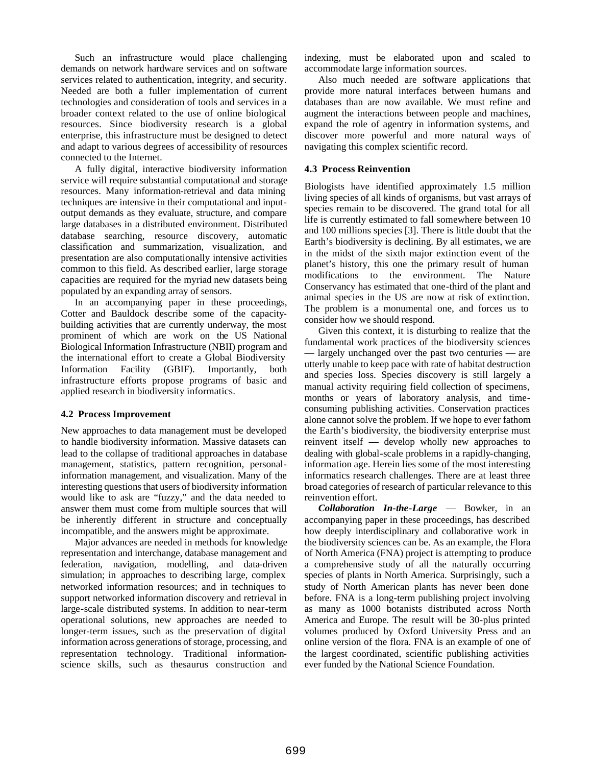Such an infrastructure would place challenging demands on network hardware services and on software services related to authentication, integrity, and security. Needed are both a fuller implementation of current technologies and consideration of tools and services in a broader context related to the use of online biological resources. Since biodiversity research is a global enterprise, this infrastructure must be designed to detect and adapt to various degrees of accessibility of resources connected to the Internet.

A fully digital, interactive biodiversity information service will require substantial computational and storage resources. Many information-retrieval and data mining techniques are intensive in their computational and inputoutput demands as they evaluate, structure, and compare large databases in a distributed environment. Distributed database searching, resource discovery, automatic classification and summarization, visualization, and presentation are also computationally intensive activities common to this field. As described earlier, large storage capacities are required for the myriad new datasets being populated by an expanding array of sensors.

In an accompanying paper in these proceedings, Cotter and Bauldock describe some of the capacitybuilding activities that are currently underway, the most prominent of which are work on the US National Biological Information Infrastructure (NBII) program and the international effort to create a Global Biodiversity Information Facility (GBIF). Importantly, both infrastructure efforts propose programs of basic and applied research in biodiversity informatics.

#### **4.2 Process Improvement**

New approaches to data management must be developed to handle biodiversity information. Massive datasets can lead to the collapse of traditional approaches in database management, statistics, pattern recognition, personalinformation management, and visualization. Many of the interesting questions that users of biodiversity information would like to ask are "fuzzy," and the data needed to answer them must come from multiple sources that will be inherently different in structure and conceptually incompatible, and the answers might be approximate.

Major advances are needed in methods for knowledge representation and interchange, database management and federation, navigation, modelling, and data-driven simulation; in approaches to describing large, complex networked information resources; and in techniques to support networked information discovery and retrieval in large-scale distributed systems. In addition to near-term operational solutions, new approaches are needed to longer-term issues, such as the preservation of digital information across generations of storage, processing, and representation technology. Traditional informationscience skills, such as thesaurus construction and

indexing, must be elaborated upon and scaled to accommodate large information sources.

Also much needed are software applications that provide more natural interfaces between humans and databases than are now available. We must refine and augment the interactions between people and machines, expand the role of agentry in information systems, and discover more powerful and more natural ways of navigating this complex scientific record.

#### **4.3 Process Reinvention**

Biologists have identified approximately 1.5 million living species of all kinds of organisms, but vast arrays of species remain to be discovered. The grand total for all life is currently estimated to fall somewhere between 10 and 100 millions species [3]. There is little doubt that the Earth's biodiversity is declining. By all estimates, we are in the midst of the sixth major extinction event of the planet's history, this one the primary result of human modifications to the environment. The Nature Conservancy has estimated that one-third of the plant and animal species in the US are now at risk of extinction. The problem is a monumental one, and forces us to consider how we should respond.

Given this context, it is disturbing to realize that the fundamental work practices of the biodiversity sciences — largely unchanged over the past two centuries — are utterly unable to keep pace with rate of habitat destruction and species loss. Species discovery is still largely a manual activity requiring field collection of specimens, months or years of laboratory analysis, and timeconsuming publishing activities. Conservation practices alone cannot solve the problem. If we hope to ever fathom the Earth's biodiversity, the biodiversity enterprise must reinvent itself — develop wholly new approaches to dealing with global-scale problems in a rapidly-changing, information age. Herein lies some of the most interesting informatics research challenges. There are at least three broad categories of research of particular relevance to this reinvention effort.

*Collaboration In-the-Large* — Bowker, in an accompanying paper in these proceedings, has described how deeply interdisciplinary and collaborative work in the biodiversity sciences can be. As an example, the Flora of North America (FNA) project is attempting to produce a comprehensive study of all the naturally occurring species of plants in North America. Surprisingly, such a study of North American plants has never been done before. FNA is a long-term publishing project involving as many as 1000 botanists distributed across North America and Europe. The result will be 30-plus printed volumes produced by Oxford University Press and an online version of the flora. FNA is an example of one of the largest coordinated, scientific publishing activities ever funded by the National Science Foundation.